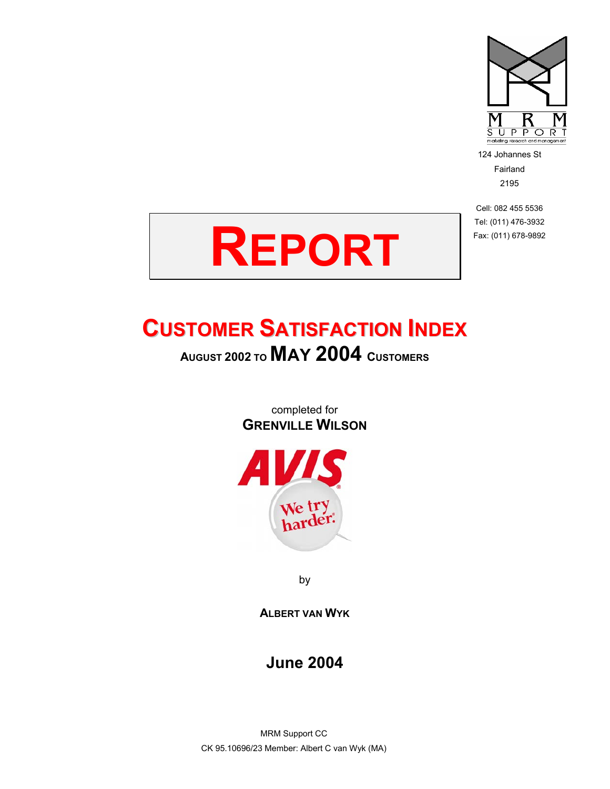

124 Johannes St Fairland 2195

Cell: 082 455 5536 Tel: (011) 476-3932 Fax: (011) 678-9892



# **CUSTOMER SATISFACTION INDEX**

**AUGUST 2002 TO MAY 2004 CUSTOMERS**

completed for **GRENVILLE WILSON**



by

**ALBERT VAN WYK**

#### **June 2004**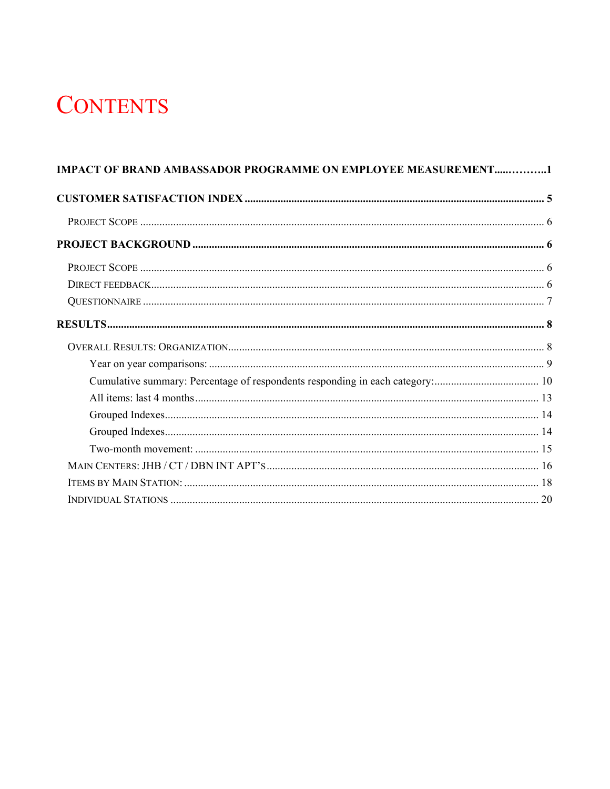# **CONTENTS**

| <b>IMPACT OF BRAND AMBASSADOR PROGRAMME ON EMPLOYEE MEASUREMENT1</b> |  |
|----------------------------------------------------------------------|--|
|                                                                      |  |
|                                                                      |  |
|                                                                      |  |
|                                                                      |  |
|                                                                      |  |
|                                                                      |  |
|                                                                      |  |
|                                                                      |  |
|                                                                      |  |
|                                                                      |  |
|                                                                      |  |
|                                                                      |  |
|                                                                      |  |
|                                                                      |  |
|                                                                      |  |
|                                                                      |  |
|                                                                      |  |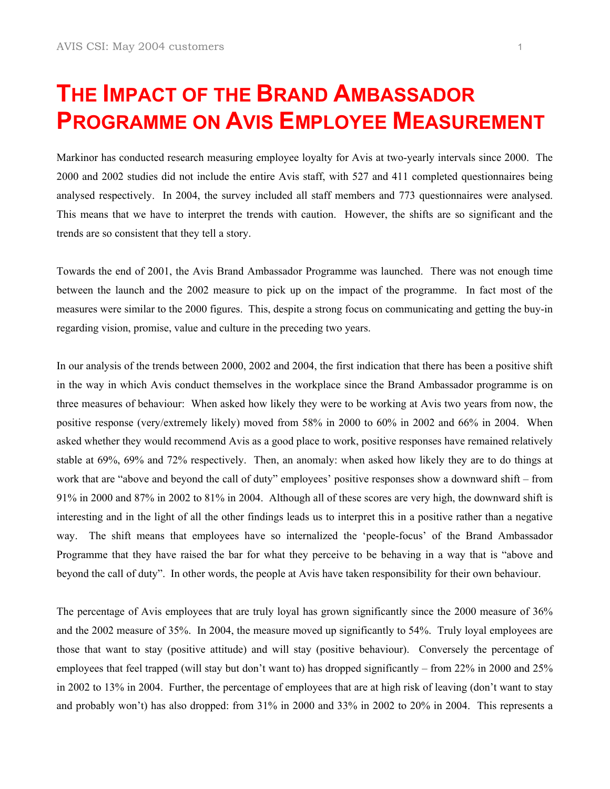# **THE IMPACT OF THE BRAND AMBASSADOR PROGRAMME ON AVIS EMPLOYEE MEASUREMENT**

Markinor has conducted research measuring employee loyalty for Avis at two-yearly intervals since 2000. The 2000 and 2002 studies did not include the entire Avis staff, with 527 and 411 completed questionnaires being analysed respectively. In 2004, the survey included all staff members and 773 questionnaires were analysed. This means that we have to interpret the trends with caution. However, the shifts are so significant and the trends are so consistent that they tell a story.

Towards the end of 2001, the Avis Brand Ambassador Programme was launched. There was not enough time between the launch and the 2002 measure to pick up on the impact of the programme. In fact most of the measures were similar to the 2000 figures. This, despite a strong focus on communicating and getting the buy-in regarding vision, promise, value and culture in the preceding two years.

In our analysis of the trends between 2000, 2002 and 2004, the first indication that there has been a positive shift in the way in which Avis conduct themselves in the workplace since the Brand Ambassador programme is on three measures of behaviour: When asked how likely they were to be working at Avis two years from now, the positive response (very/extremely likely) moved from 58% in 2000 to 60% in 2002 and 66% in 2004. When asked whether they would recommend Avis as a good place to work, positive responses have remained relatively stable at 69%, 69% and 72% respectively. Then, an anomaly: when asked how likely they are to do things at work that are "above and beyond the call of duty" employees' positive responses show a downward shift – from 91% in 2000 and 87% in 2002 to 81% in 2004. Although all of these scores are very high, the downward shift is interesting and in the light of all the other findings leads us to interpret this in a positive rather than a negative way. The shift means that employees have so internalized the 'people-focus' of the Brand Ambassador Programme that they have raised the bar for what they perceive to be behaving in a way that is "above and beyond the call of duty". In other words, the people at Avis have taken responsibility for their own behaviour.

The percentage of Avis employees that are truly loyal has grown significantly since the 2000 measure of 36% and the 2002 measure of 35%. In 2004, the measure moved up significantly to 54%. Truly loyal employees are those that want to stay (positive attitude) and will stay (positive behaviour). Conversely the percentage of employees that feel trapped (will stay but don't want to) has dropped significantly – from 22% in 2000 and 25% in 2002 to 13% in 2004. Further, the percentage of employees that are at high risk of leaving (don't want to stay and probably won't) has also dropped: from 31% in 2000 and 33% in 2002 to 20% in 2004. This represents a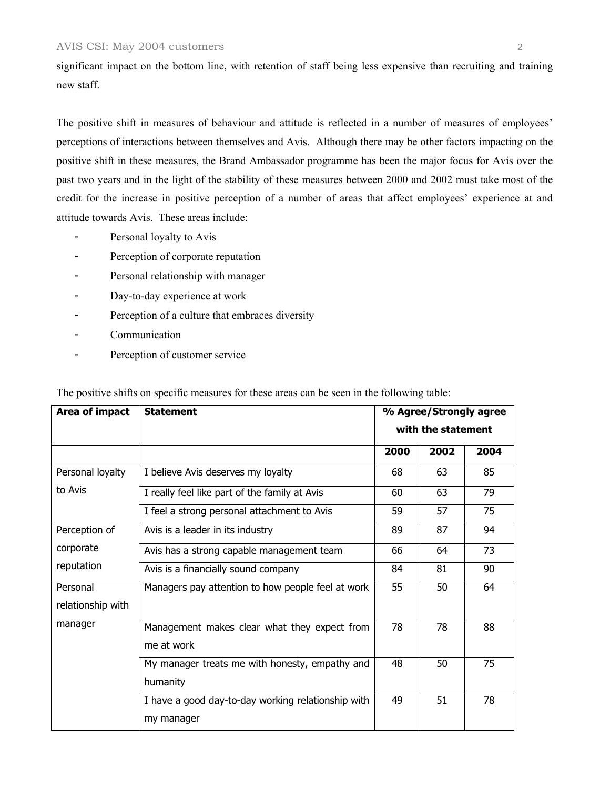#### AVIS CSI: May 2004 customers 2

significant impact on the bottom line, with retention of staff being less expensive than recruiting and training new staff.

The positive shift in measures of behaviour and attitude is reflected in a number of measures of employees' perceptions of interactions between themselves and Avis. Although there may be other factors impacting on the positive shift in these measures, the Brand Ambassador programme has been the major focus for Avis over the past two years and in the light of the stability of these measures between 2000 and 2002 must take most of the credit for the increase in positive perception of a number of areas that affect employees' experience at and attitude towards Avis. These areas include:

- Personal loyalty to Avis
- Perception of corporate reputation
- Personal relationship with manager
- Day-to-day experience at work
- Perception of a culture that embraces diversity
- Communication
- Perception of customer service

The positive shifts on specific measures for these areas can be seen in the following table:

| Area of impact                                         | <b>Statement</b>                                   | % Agree/Strongly agree<br>with the statement |      |      |
|--------------------------------------------------------|----------------------------------------------------|----------------------------------------------|------|------|
|                                                        |                                                    |                                              |      |      |
|                                                        |                                                    | 2000                                         | 2002 | 2004 |
| Personal loyalty                                       | I believe Avis deserves my loyalty                 | 68                                           | 63   | 85   |
| to Avis                                                | I really feel like part of the family at Avis      | 60                                           | 63   | 79   |
|                                                        | I feel a strong personal attachment to Avis        | 59                                           | 57   | 75   |
| Perception of                                          | Avis is a leader in its industry                   | 89                                           | 87   | 94   |
| corporate<br>Avis has a strong capable management team |                                                    | 66                                           | 64   | 73   |
| reputation                                             | Avis is a financially sound company                | 84                                           | 81   | 90   |
| Personal                                               | Managers pay attention to how people feel at work  | 55                                           | 50   | 64   |
| relationship with                                      |                                                    |                                              |      |      |
| manager                                                | Management makes clear what they expect from       | 78                                           | 78   | 88   |
|                                                        | me at work                                         |                                              |      |      |
|                                                        | My manager treats me with honesty, empathy and     | 48                                           | 50   | 75   |
|                                                        | humanity                                           |                                              |      |      |
|                                                        | I have a good day-to-day working relationship with | 49                                           | 51   | 78   |
|                                                        | my manager                                         |                                              |      |      |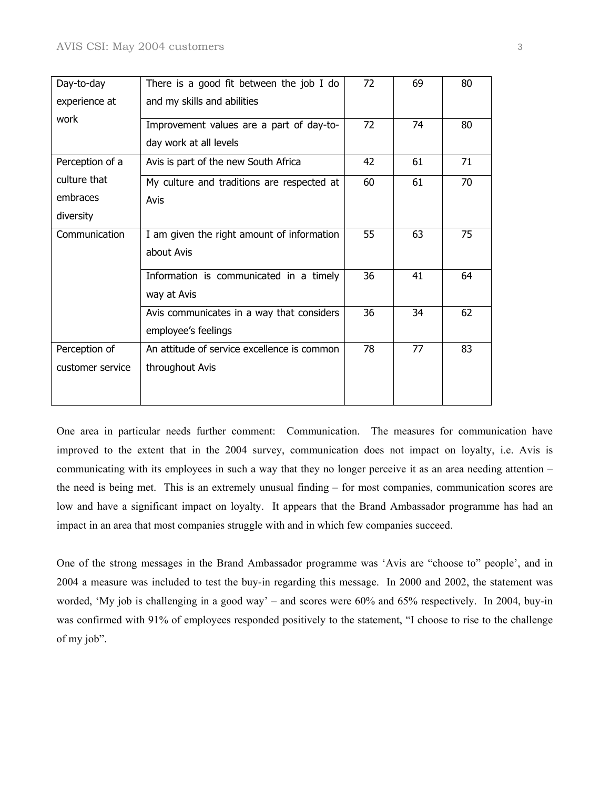| Day-to-day       | There is a good fit between the job I do    | 72 | 69 | 80 |
|------------------|---------------------------------------------|----|----|----|
| experience at    | and my skills and abilities                 |    |    |    |
| work             | Improvement values are a part of day-to-    | 72 | 74 | 80 |
|                  | day work at all levels                      |    |    |    |
| Perception of a  | Avis is part of the new South Africa        | 42 | 61 | 71 |
| culture that     | My culture and traditions are respected at  | 60 | 61 | 70 |
| embraces         | Avis                                        |    |    |    |
| diversity        |                                             |    |    |    |
| Communication    | I am given the right amount of information  | 55 | 63 | 75 |
|                  | about Avis                                  |    |    |    |
|                  | Information is communicated in a timely     | 36 | 41 | 64 |
|                  | way at Avis                                 |    |    |    |
|                  | Avis communicates in a way that considers   | 36 | 34 | 62 |
|                  | employee's feelings                         |    |    |    |
| Perception of    | An attitude of service excellence is common | 78 | 77 | 83 |
| customer service | throughout Avis                             |    |    |    |
|                  |                                             |    |    |    |
|                  |                                             |    |    |    |

One area in particular needs further comment: Communication. The measures for communication have improved to the extent that in the 2004 survey, communication does not impact on loyalty, i.e. Avis is communicating with its employees in such a way that they no longer perceive it as an area needing attention – the need is being met. This is an extremely unusual finding – for most companies, communication scores are low and have a significant impact on loyalty. It appears that the Brand Ambassador programme has had an impact in an area that most companies struggle with and in which few companies succeed.

One of the strong messages in the Brand Ambassador programme was 'Avis are "choose to" people', and in 2004 a measure was included to test the buy-in regarding this message. In 2000 and 2002, the statement was worded, 'My job is challenging in a good way' – and scores were 60% and 65% respectively. In 2004, buy-in was confirmed with 91% of employees responded positively to the statement, "I choose to rise to the challenge of my job".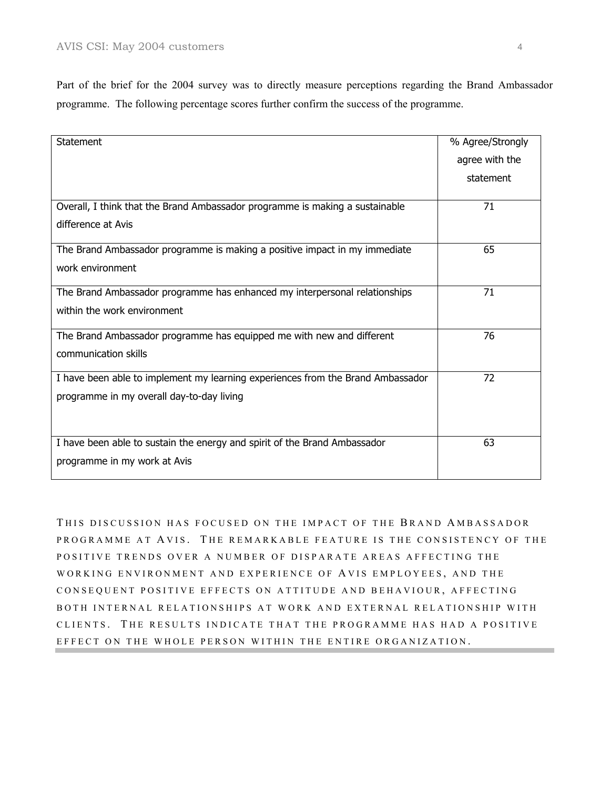Part of the brief for the 2004 survey was to directly measure perceptions regarding the Brand Ambassador programme. The following percentage scores further confirm the success of the programme.

| <b>Statement</b>                                                                | % Agree/Strongly |
|---------------------------------------------------------------------------------|------------------|
|                                                                                 | agree with the   |
|                                                                                 | statement        |
|                                                                                 |                  |
| Overall, I think that the Brand Ambassador programme is making a sustainable    | 71               |
| difference at Avis                                                              |                  |
| The Brand Ambassador programme is making a positive impact in my immediate      | 65               |
| work environment                                                                |                  |
|                                                                                 |                  |
| The Brand Ambassador programme has enhanced my interpersonal relationships      | 71               |
| within the work environment                                                     |                  |
| The Brand Ambassador programme has equipped me with new and different           | 76               |
| communication skills                                                            |                  |
|                                                                                 |                  |
| I have been able to implement my learning experiences from the Brand Ambassador | 72               |
| programme in my overall day-to-day living                                       |                  |
|                                                                                 |                  |
|                                                                                 |                  |
| I have been able to sustain the energy and spirit of the Brand Ambassador       | 63               |
| programme in my work at Avis                                                    |                  |
|                                                                                 |                  |

THIS DISCUSSION HAS FOCUSED ON THE IMPACT OF THE BRAND AMBASSADOR PROGRAMME AT AVIS. THE REMARKABLE FEATURE IS THE CONSISTENCY OF THE POSITIVE TRENDS OVER A NUMBER OF DISPARATE AREAS AFFECTING THE WORKING ENVIRONMENT AND EXPERIENCE OF A VIS EMPLOYEES , AND THE CONSEQUENT POSITIVE EFFECTS ON ATTITUDE AND BEHAVIOUR , AFFECTING BOTH INTERNAL RELATIONSHIPS AT WORK AND EXTERNAL RELATIONSHIP WITH CLIENTS. THE RESULTS INDICATE THAT THE PROGRAMME HAS HAD A POSITIVE EFFECT ON THE WHOLE PERSON WITHIN THE ENTIRE ORGANIZATION.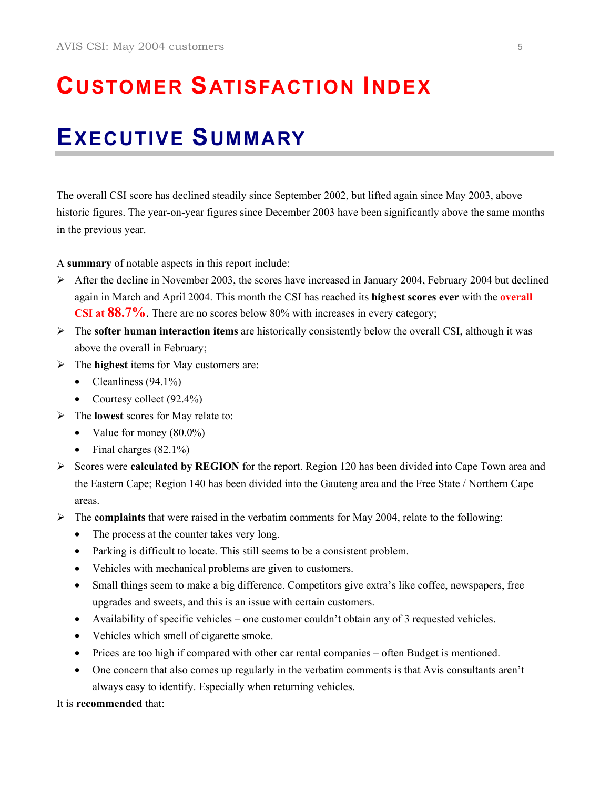# **CUSTOMER SATISFACTION INDEX**

## **EXECUTIVE SUMMARY**

The overall CSI score has declined steadily since September 2002, but lifted again since May 2003, above historic figures. The year-on-year figures since December 2003 have been significantly above the same months in the previous year.

A **summary** of notable aspects in this report include:

- $\blacktriangleright$  After the decline in November 2003, the scores have increased in January 2004, February 2004 but declined again in March and April 2004. This month the CSI has reached its **highest scores ever** with the **overall CSI at 88.7%**. There are no scores below 80% with increases in every category;
- ¾ The **softer human interaction items** are historically consistently below the overall CSI, although it was above the overall in February;
- ¾ The **highest** items for May customers are:
	- Cleanliness  $(94.1\%)$
	- Courtesy collect (92.4%)
- ¾ The **lowest** scores for May relate to:
	- Value for money (80.0%)
	- Final charges  $(82.1\%)$
- ¾ Scores were **calculated by REGION** for the report. Region 120 has been divided into Cape Town area and the Eastern Cape; Region 140 has been divided into the Gauteng area and the Free State / Northern Cape areas.
- ¾ The **complaints** that were raised in the verbatim comments for May 2004, relate to the following:
	- The process at the counter takes very long.
	- Parking is difficult to locate. This still seems to be a consistent problem.
	- Vehicles with mechanical problems are given to customers.
	- Small things seem to make a big difference. Competitors give extra's like coffee, newspapers, free upgrades and sweets, and this is an issue with certain customers.
	- Availability of specific vehicles one customer couldn't obtain any of 3 requested vehicles.
	- Vehicles which smell of cigarette smoke.
	- Prices are too high if compared with other car rental companies often Budget is mentioned.
	- One concern that also comes up regularly in the verbatim comments is that Avis consultants aren't always easy to identify. Especially when returning vehicles.

It is **recommended** that: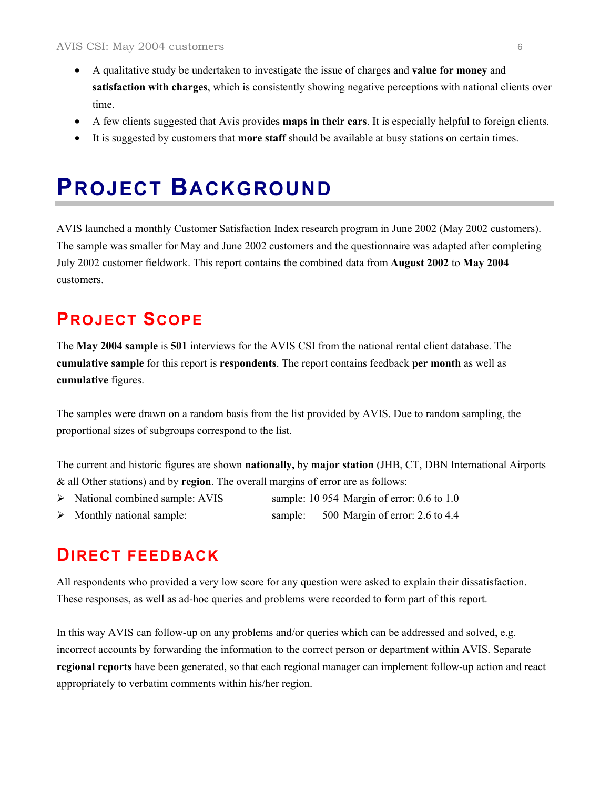- A qualitative study be undertaken to investigate the issue of charges and **value for money** and **satisfaction with charges**, which is consistently showing negative perceptions with national clients over time.
- A few clients suggested that Avis provides **maps in their cars**. It is especially helpful to foreign clients.
- It is suggested by customers that **more staff** should be available at busy stations on certain times.

### **PROJECT BACKGROUND**

AVIS launched a monthly Customer Satisfaction Index research program in June 2002 (May 2002 customers). The sample was smaller for May and June 2002 customers and the questionnaire was adapted after completing July 2002 customer fieldwork. This report contains the combined data from **August 2002** to **May 2004** customers.

#### **PROJECT SCOPE**

The **May 2004 sample** is **501** interviews for the AVIS CSI from the national rental client database. The **cumulative sample** for this report is **respondents**. The report contains feedback **per month** as well as **cumulative** figures.

The samples were drawn on a random basis from the list provided by AVIS. Due to random sampling, the proportional sizes of subgroups correspond to the list.

The current and historic figures are shown **nationally,** by **major station** (JHB, CT, DBN International Airports & all Other stations) and by **region**. The overall margins of error are as follows:

- ¾ National combined sample: AVIS sample: 10 954 Margin of error: 0.6 to 1.0
- Monthly national sample: sample: 500 Margin of error: 2.6 to 4.4

#### **DIRECT FEEDBACK**

All respondents who provided a very low score for any question were asked to explain their dissatisfaction. These responses, as well as ad-hoc queries and problems were recorded to form part of this report.

In this way AVIS can follow-up on any problems and/or queries which can be addressed and solved, e.g. incorrect accounts by forwarding the information to the correct person or department within AVIS. Separate **regional reports** have been generated, so that each regional manager can implement follow-up action and react appropriately to verbatim comments within his/her region.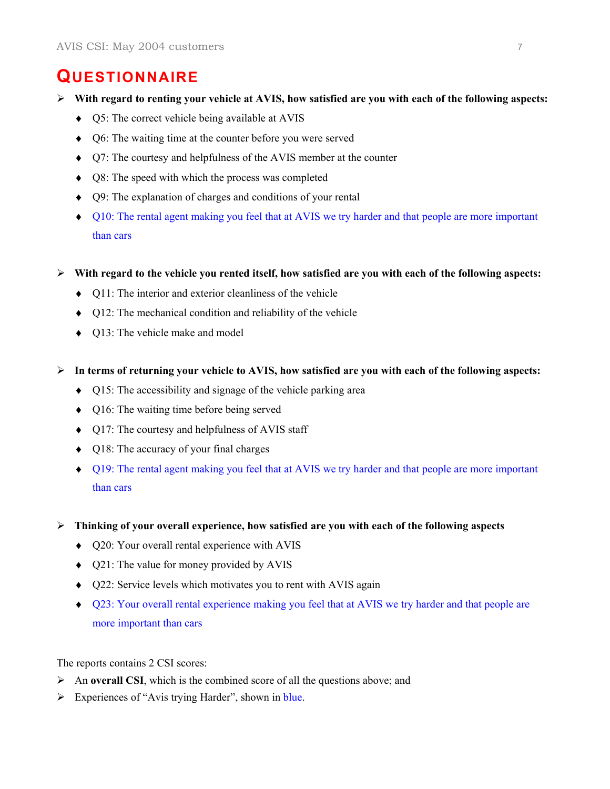#### **QUESTIONNAIRE**

- ¾ **With regard to renting your vehicle at AVIS, how satisfied are you with each of the following aspects:** 
	- ♦ Q5: The correct vehicle being available at AVIS
	- ♦ Q6: The waiting time at the counter before you were served
	- ♦ Q7: The courtesy and helpfulness of the AVIS member at the counter
	- ♦ Q8: The speed with which the process was completed
	- ♦ Q9: The explanation of charges and conditions of your rental
	- ♦ Q10: The rental agent making you feel that at AVIS we try harder and that people are more important than cars
- ¾ **With regard to the vehicle you rented itself, how satisfied are you with each of the following aspects:** 
	- ♦ Q11: The interior and exterior cleanliness of the vehicle
	- ♦ Q12: The mechanical condition and reliability of the vehicle
	- ♦ Q13: The vehicle make and model
- ¾ **In terms of returning your vehicle to AVIS, how satisfied are you with each of the following aspects:** 
	- ♦ Q15: The accessibility and signage of the vehicle parking area
	- ♦ Q16: The waiting time before being served
	- ♦ Q17: The courtesy and helpfulness of AVIS staff
	- ♦ Q18: The accuracy of your final charges
	- ♦ Q19: The rental agent making you feel that at AVIS we try harder and that people are more important than cars
- ¾ **Thinking of your overall experience, how satisfied are you with each of the following aspects** 
	- ♦ Q20: Your overall rental experience with AVIS
	- ♦ Q21: The value for money provided by AVIS
	- ♦ Q22: Service levels which motivates you to rent with AVIS again
	- ♦ Q23: Your overall rental experience making you feel that at AVIS we try harder and that people are more important than cars

The reports contains 2 CSI scores:

- ¾ An **overall CSI**, which is the combined score of all the questions above; and
- $\triangleright$  Experiences of "Avis trying Harder", shown in blue.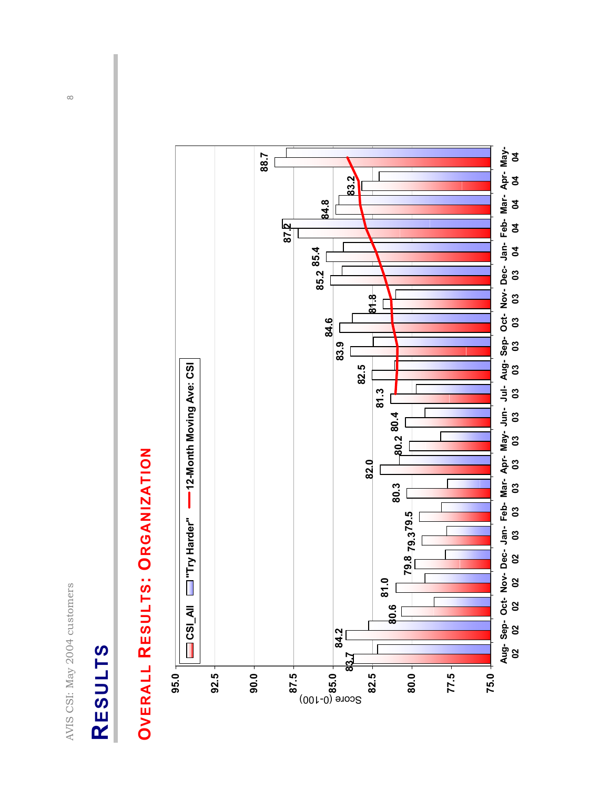# RESULTS **RESULTS**

# **OVERALL RESULTS: ORGANIZATION OVERALL RESULTS: ORGANIZATION**



 $\infty$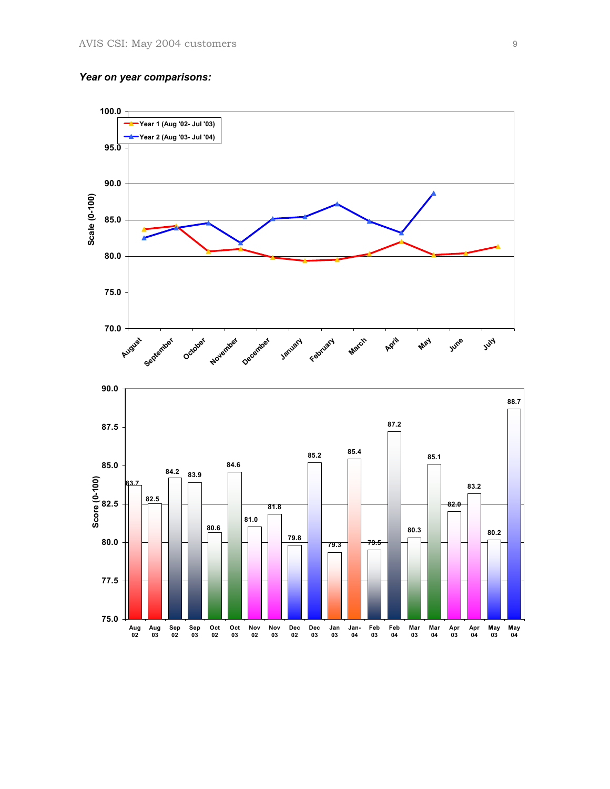#### *Year on year comparisons:*

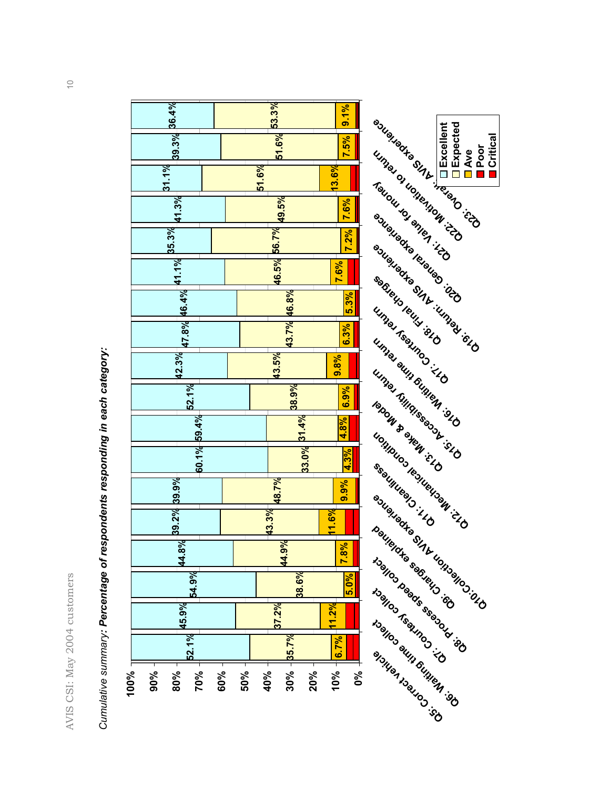AVIS CSI: May 2004 customers 10 AVIS CSI: May 2004 customers



*Cumulative summary: Percentage of respondents responding in each category:*  Cumulative summary: Percentage of respondents responding in each category: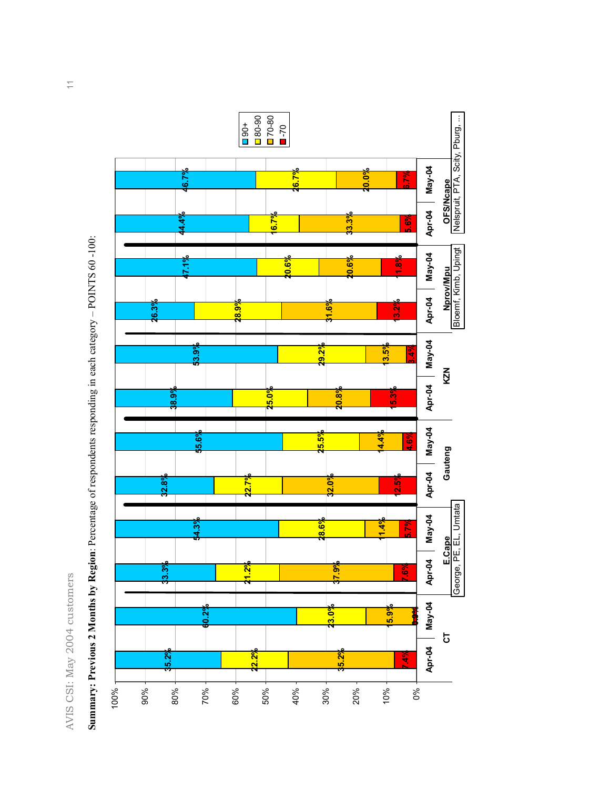



**Summary: Previous 2 Months by Region**: Percentage of respondents responding in each category – POINTS 60 -100: Summary: Previous 2 Months by Region: Percentage of respondents responding in each category - POINTS 60-100: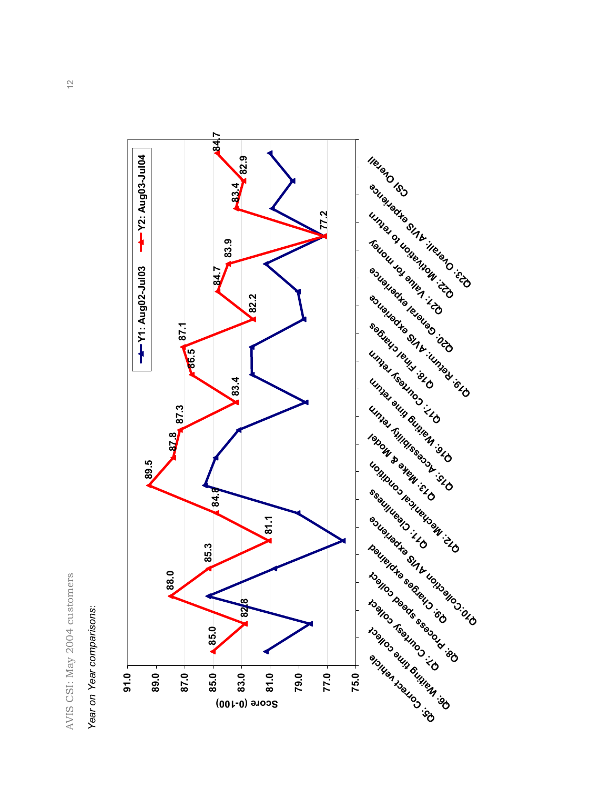

*Year on Year comparisons*: Year on Year comparisons:

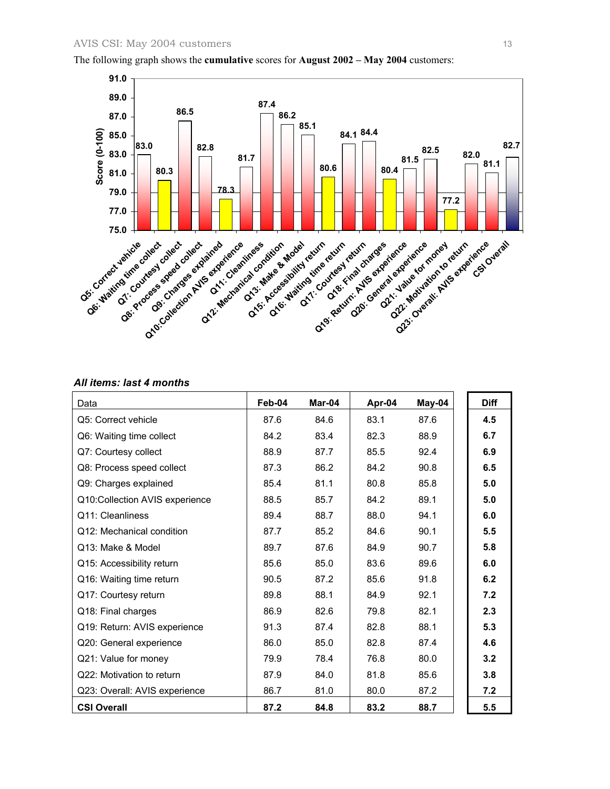

The following graph shows the **cumulative** scores for **August 2002 – May 2004** customers:

#### *All items: last 4 months*

| Data                           | Feb-04 | Mar-04 | Apr-04 | May-04 | <b>Diff</b> |
|--------------------------------|--------|--------|--------|--------|-------------|
| Q5: Correct vehicle            | 87.6   | 84.6   | 83.1   | 87.6   | 4.5         |
| Q6: Waiting time collect       | 84.2   | 83.4   | 82.3   | 88.9   | 6.7         |
| Q7: Courtesy collect           | 88.9   | 87.7   | 85.5   | 92.4   | 6.9         |
| Q8: Process speed collect      | 87.3   | 86.2   | 84.2   | 90.8   | 6.5         |
| Q9: Charges explained          | 85.4   | 81.1   | 80.8   | 85.8   | 5.0         |
| Q10:Collection AVIS experience | 88.5   | 85.7   | 84.2   | 89.1   | 5.0         |
| Q11: Cleanliness               | 89.4   | 88.7   | 88.0   | 94.1   | 6.0         |
| Q12: Mechanical condition      | 87.7   | 85.2   | 84.6   | 90.1   | 5.5         |
| Q13: Make & Model              | 89.7   | 87.6   | 84.9   | 90.7   | 5.8         |
| Q15: Accessibility return      | 85.6   | 85.0   | 83.6   | 89.6   | 6.0         |
| Q16: Waiting time return       | 90.5   | 87.2   | 85.6   | 91.8   | 6.2         |
| Q17: Courtesy return           | 89.8   | 88.1   | 84.9   | 92.1   | 7.2         |
| Q18: Final charges             | 86.9   | 82.6   | 79.8   | 82.1   | 2.3         |
| Q19: Return: AVIS experience   | 91.3   | 87.4   | 82.8   | 88.1   | 5.3         |
| Q20: General experience        | 86.0   | 85.0   | 82.8   | 87.4   | 4.6         |
| Q21: Value for money           | 79.9   | 78.4   | 76.8   | 80.0   | 3.2         |
| Q22: Motivation to return      | 87.9   | 84.0   | 81.8   | 85.6   | 3.8         |
| Q23: Overall: AVIS experience  | 86.7   | 81.0   | 80.0   | 87.2   | 7.2         |
| <b>CSI Overall</b>             | 87.2   | 84.8   | 83.2   | 88.7   | 5.5         |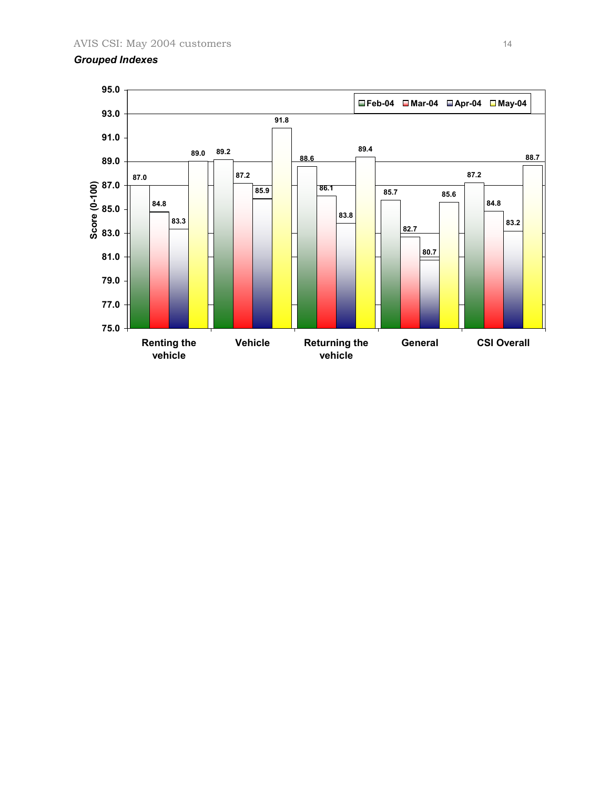#### *Grouped Indexes*

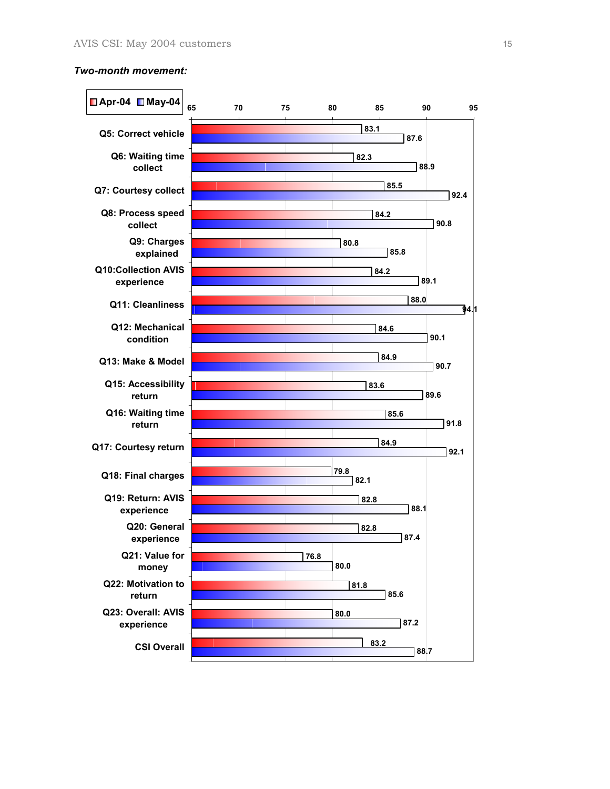#### *Two-month movement:*

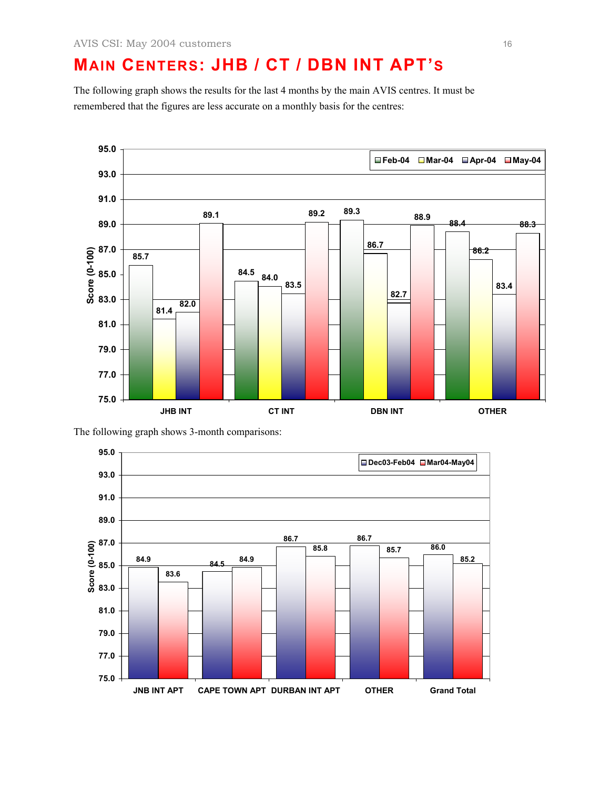#### **MAIN CENTERS: JHB / CT / DBN INT APT'S**

The following graph shows the results for the last 4 months by the main AVIS centres. It must be remembered that the figures are less accurate on a monthly basis for the centres:



The following graph shows 3-month comparisons:

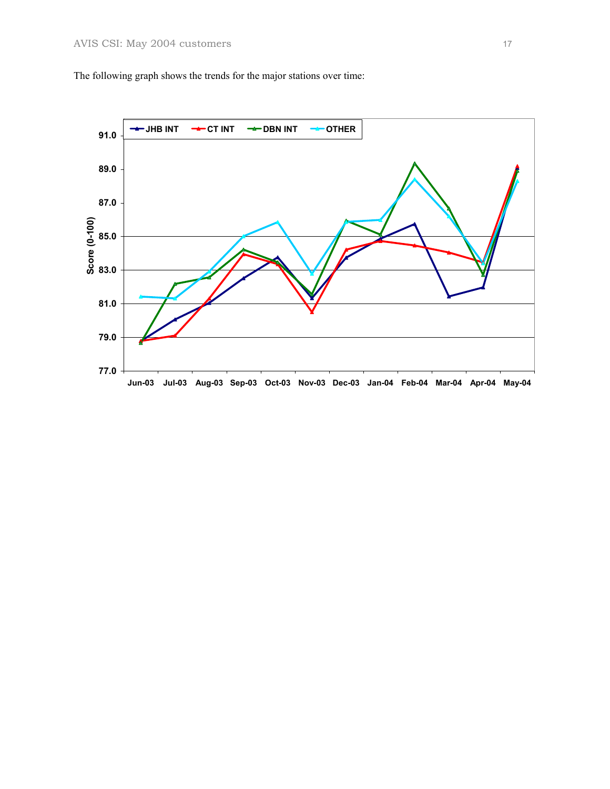The following graph shows the trends for the major stations over time:

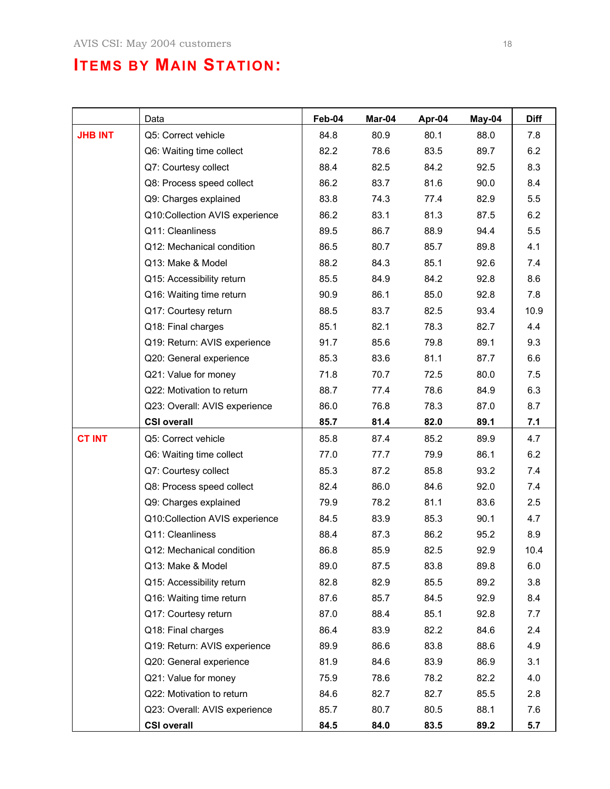#### **ITEMS BY MAIN STATION:**

|                | Data                           | Feb-04 | Mar-04 | Apr-04 | May-04 | <b>Diff</b> |
|----------------|--------------------------------|--------|--------|--------|--------|-------------|
| <b>JHB INT</b> | Q5: Correct vehicle            | 84.8   | 80.9   | 80.1   | 88.0   | 7.8         |
|                | Q6: Waiting time collect       | 82.2   | 78.6   | 83.5   | 89.7   | 6.2         |
|                | Q7: Courtesy collect           | 88.4   | 82.5   | 84.2   | 92.5   | 8.3         |
|                | Q8: Process speed collect      | 86.2   | 83.7   | 81.6   | 90.0   | 8.4         |
|                | Q9: Charges explained          | 83.8   | 74.3   | 77.4   | 82.9   | 5.5         |
|                | Q10:Collection AVIS experience | 86.2   | 83.1   | 81.3   | 87.5   | 6.2         |
|                | Q11: Cleanliness               | 89.5   | 86.7   | 88.9   | 94.4   | 5.5         |
|                | Q12: Mechanical condition      | 86.5   | 80.7   | 85.7   | 89.8   | 4.1         |
|                | Q13: Make & Model              | 88.2   | 84.3   | 85.1   | 92.6   | 7.4         |
|                | Q15: Accessibility return      | 85.5   | 84.9   | 84.2   | 92.8   | 8.6         |
|                | Q16: Waiting time return       | 90.9   | 86.1   | 85.0   | 92.8   | 7.8         |
|                | Q17: Courtesy return           | 88.5   | 83.7   | 82.5   | 93.4   | 10.9        |
|                | Q18: Final charges             | 85.1   | 82.1   | 78.3   | 82.7   | 4.4         |
|                | Q19: Return: AVIS experience   | 91.7   | 85.6   | 79.8   | 89.1   | 9.3         |
|                | Q20: General experience        | 85.3   | 83.6   | 81.1   | 87.7   | 6.6         |
|                | Q21: Value for money           | 71.8   | 70.7   | 72.5   | 80.0   | 7.5         |
|                | Q22: Motivation to return      | 88.7   | 77.4   | 78.6   | 84.9   | 6.3         |
|                | Q23: Overall: AVIS experience  | 86.0   | 76.8   | 78.3   | 87.0   | 8.7         |
|                | <b>CSI overall</b>             | 85.7   | 81.4   | 82.0   | 89.1   | 7.1         |
| <b>CT INT</b>  | Q5: Correct vehicle            | 85.8   | 87.4   | 85.2   | 89.9   | 4.7         |
|                | Q6: Waiting time collect       | 77.0   | 77.7   | 79.9   | 86.1   | 6.2         |
|                | Q7: Courtesy collect           | 85.3   | 87.2   | 85.8   | 93.2   | 7.4         |
|                | Q8: Process speed collect      | 82.4   | 86.0   | 84.6   | 92.0   | 7.4         |
|                | Q9: Charges explained          | 79.9   | 78.2   | 81.1   | 83.6   | 2.5         |
|                | Q10:Collection AVIS experience | 84.5   | 83.9   | 85.3   | 90.1   | 4.7         |
|                | Q11: Cleanliness               | 88.4   | 87.3   | 86.2   | 95.2   | 8.9         |
|                | Q12: Mechanical condition      | 86.8   | 85.9   | 82.5   | 92.9   | 10.4        |
|                | Q13: Make & Model              | 89.0   | 87.5   | 83.8   | 89.8   | 6.0         |
|                | Q15: Accessibility return      | 82.8   | 82.9   | 85.5   | 89.2   | 3.8         |
|                | Q16: Waiting time return       | 87.6   | 85.7   | 84.5   | 92.9   | 8.4         |
|                | Q17: Courtesy return           | 87.0   | 88.4   | 85.1   | 92.8   | 7.7         |
|                | Q18: Final charges             | 86.4   | 83.9   | 82.2   | 84.6   | 2.4         |
|                | Q19: Return: AVIS experience   | 89.9   | 86.6   | 83.8   | 88.6   | 4.9         |
|                | Q20: General experience        | 81.9   | 84.6   | 83.9   | 86.9   | 3.1         |
|                | Q21: Value for money           | 75.9   | 78.6   | 78.2   | 82.2   | 4.0         |
|                | Q22: Motivation to return      | 84.6   | 82.7   | 82.7   | 85.5   | 2.8         |
|                | Q23: Overall: AVIS experience  | 85.7   | 80.7   | 80.5   | 88.1   | 7.6         |
|                | <b>CSI overall</b>             | 84.5   | 84.0   | 83.5   | 89.2   | 5.7         |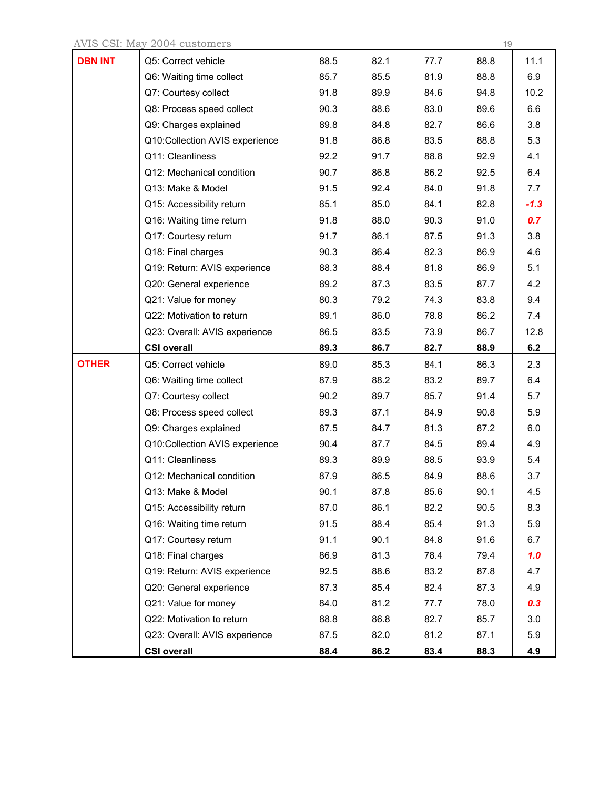AVIS CSI: May 2004 customers 19

| <b>DBN INT</b> | Q5: Correct vehicle            | 88.5 | 82.1 | 77.7 | 88.8 | 11.1   |
|----------------|--------------------------------|------|------|------|------|--------|
|                | Q6: Waiting time collect       | 85.7 | 85.5 | 81.9 | 88.8 | 6.9    |
|                | Q7: Courtesy collect           | 91.8 | 89.9 | 84.6 | 94.8 | 10.2   |
|                | Q8: Process speed collect      | 90.3 | 88.6 | 83.0 | 89.6 | 6.6    |
|                | Q9: Charges explained          | 89.8 | 84.8 | 82.7 | 86.6 | 3.8    |
|                | Q10:Collection AVIS experience | 91.8 | 86.8 | 83.5 | 88.8 | 5.3    |
|                | Q11: Cleanliness               | 92.2 | 91.7 | 88.8 | 92.9 | 4.1    |
|                | Q12: Mechanical condition      | 90.7 | 86.8 | 86.2 | 92.5 | 6.4    |
|                | Q13: Make & Model              | 91.5 | 92.4 | 84.0 | 91.8 | 7.7    |
|                | Q15: Accessibility return      | 85.1 | 85.0 | 84.1 | 82.8 | $-1.3$ |
|                | Q16: Waiting time return       | 91.8 | 88.0 | 90.3 | 91.0 | 0.7    |
|                | Q17: Courtesy return           | 91.7 | 86.1 | 87.5 | 91.3 | 3.8    |
|                | Q18: Final charges             | 90.3 | 86.4 | 82.3 | 86.9 | 4.6    |
|                | Q19: Return: AVIS experience   | 88.3 | 88.4 | 81.8 | 86.9 | 5.1    |
|                | Q20: General experience        | 89.2 | 87.3 | 83.5 | 87.7 | 4.2    |
|                | Q21: Value for money           | 80.3 | 79.2 | 74.3 | 83.8 | 9.4    |
|                | Q22: Motivation to return      | 89.1 | 86.0 | 78.8 | 86.2 | 7.4    |
|                | Q23: Overall: AVIS experience  | 86.5 | 83.5 | 73.9 | 86.7 | 12.8   |
|                | <b>CSI overall</b>             | 89.3 | 86.7 | 82.7 | 88.9 | 6.2    |
| <b>OTHER</b>   | Q5: Correct vehicle            | 89.0 | 85.3 | 84.1 | 86.3 | 2.3    |
|                | Q6: Waiting time collect       | 87.9 | 88.2 | 83.2 | 89.7 | 6.4    |
|                | Q7: Courtesy collect           | 90.2 | 89.7 | 85.7 | 91.4 | 5.7    |
|                | Q8: Process speed collect      | 89.3 | 87.1 | 84.9 | 90.8 | 5.9    |
|                | Q9: Charges explained          | 87.5 | 84.7 | 81.3 | 87.2 | 6.0    |
|                | Q10:Collection AVIS experience | 90.4 | 87.7 | 84.5 | 89.4 | 4.9    |
|                | Q11: Cleanliness               | 89.3 | 89.9 | 88.5 | 93.9 | 5.4    |
|                | Q12: Mechanical condition      | 87.9 | 86.5 | 84.9 | 88.6 | 3.7    |
|                | Q13: Make & Model              | 90.1 | 87.8 | 85.6 | 90.1 | 4.5    |
|                | Q15: Accessibility return      | 87.0 | 86.1 | 82.2 | 90.5 | 8.3    |
|                | Q16: Waiting time return       | 91.5 | 88.4 | 85.4 | 91.3 | 5.9    |
|                | Q17: Courtesy return           | 91.1 | 90.1 | 84.8 | 91.6 | 6.7    |
|                | Q18: Final charges             | 86.9 | 81.3 | 78.4 | 79.4 | 1.0    |
|                | Q19: Return: AVIS experience   | 92.5 | 88.6 | 83.2 | 87.8 | 4.7    |
|                | Q20: General experience        | 87.3 | 85.4 | 82.4 | 87.3 | 4.9    |
|                | Q21: Value for money           | 84.0 | 81.2 | 77.7 | 78.0 | 0.3    |
|                |                                |      |      |      |      |        |
|                | Q22: Motivation to return      | 88.8 | 86.8 | 82.7 | 85.7 | 3.0    |
|                | Q23: Overall: AVIS experience  | 87.5 | 82.0 | 81.2 | 87.1 | 5.9    |